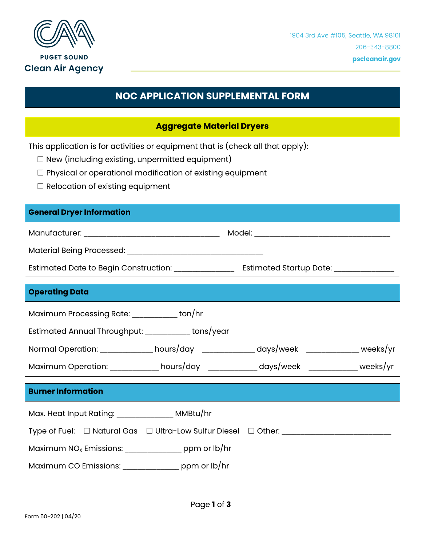

**PUGET SOUND Clean Air Agency** 

# **NOC APPLICATION SUPPLEMENTAL FORM**

## **Aggregate Material Dryers**

This application is for activities or equipment that is (check all that apply):

 $\Box$  New (including existing, unpermitted equipment)

☐ Physical or operational modification of existing equipment

 $\Box$  Relocation of existing equipment

#### **General Dryer Information**

Manufacturer: \_\_\_\_\_\_\_\_\_\_\_\_\_\_\_\_\_\_\_\_\_\_\_\_\_\_\_\_\_\_\_\_\_\_\_\_ Model: \_\_\_\_\_\_\_\_\_\_\_\_\_\_\_\_\_\_\_\_\_\_\_\_\_\_\_\_\_\_\_\_\_\_\_\_

Material Being Processed: \_\_\_\_\_\_\_\_\_\_\_\_\_\_\_\_\_\_\_\_\_\_\_\_\_\_\_\_\_\_\_\_\_\_\_\_

| Estimated Date to Begin Construction: | <b>Estimated Startup Date:</b> |
|---------------------------------------|--------------------------------|
|---------------------------------------|--------------------------------|

# **Operating Data** Maximum Processing Rate: \_\_\_\_\_\_\_\_\_\_\_\_ ton/hr Estimated Annual Throughput: \_\_\_\_\_\_\_\_\_\_\_\_ tons/year Normal Operation: \_\_\_\_\_\_\_\_\_\_\_\_\_ hours/day \_\_\_\_\_\_\_\_\_\_\_\_ days/week \_\_\_\_\_\_\_\_\_\_\_\_\_ weeks/yr Maximum Operation: \_\_\_\_\_\_\_\_\_\_\_\_\_ hours/day \_\_\_\_\_\_\_\_\_\_\_\_\_ days/week \_\_\_\_\_\_\_\_\_\_\_\_\_ weeks/yr **Burner Information** Max. Heat Input Rating: \_\_\_\_\_\_\_\_\_\_\_\_\_\_\_ MMBtu/hr Type of Fuel: □ Natural Gas □ Ultra-Low Sulfur Diesel □ Other: \_\_\_\_\_\_\_\_\_\_\_\_\_\_\_\_\_\_

Maximum NO<sub>x</sub> Emissions: \_\_\_\_\_\_\_\_\_\_\_\_\_\_\_\_\_ ppm or lb/hr

Maximum CO Emissions: \_\_\_\_\_\_\_\_\_\_\_\_\_\_\_ ppm or lb/hr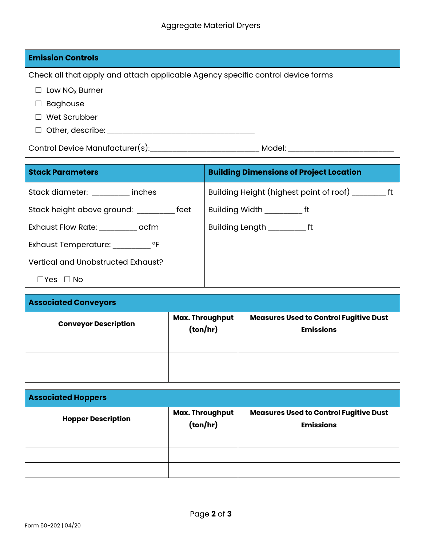| <b>Emission Controls</b>                                                        |        |  |
|---------------------------------------------------------------------------------|--------|--|
| Check all that apply and attach applicable Agency specific control device forms |        |  |
| Low $NOx$ Burner                                                                |        |  |
| <b>Baghouse</b>                                                                 |        |  |
| Wet Scrubber                                                                    |        |  |
| Other, describe:                                                                |        |  |
| Control Device Manufacturer(s):                                                 | Model: |  |

| <b>Stack Parameters</b>                     | <b>Building Dimensions of Project Location</b> |
|---------------------------------------------|------------------------------------------------|
| Stack diameter: inches                      |                                                |
| Stack height above ground: ___________ feet | Building Width _____________ ft                |
| Exhaust Flow Rate: exhaust Flow Rate:       | Building Length _____________ ft               |
|                                             |                                                |
| Vertical and Unobstructed Exhaust?          |                                                |
| ⊿Yes □No                                    |                                                |

| <b>Associated Conveyors</b> |                             |                                                                   |  |  |
|-----------------------------|-----------------------------|-------------------------------------------------------------------|--|--|
| <b>Conveyor Description</b> | Max. Throughput<br>(ton/hr) | <b>Measures Used to Control Fugitive Dust</b><br><b>Emissions</b> |  |  |
|                             |                             |                                                                   |  |  |
|                             |                             |                                                                   |  |  |
|                             |                             |                                                                   |  |  |

| <b>Associated Hoppers</b> |                             |                                                                   |  |  |
|---------------------------|-----------------------------|-------------------------------------------------------------------|--|--|
| <b>Hopper Description</b> | Max. Throughput<br>(ton/hr) | <b>Measures Used to Control Fugitive Dust</b><br><b>Emissions</b> |  |  |
|                           |                             |                                                                   |  |  |
|                           |                             |                                                                   |  |  |
|                           |                             |                                                                   |  |  |